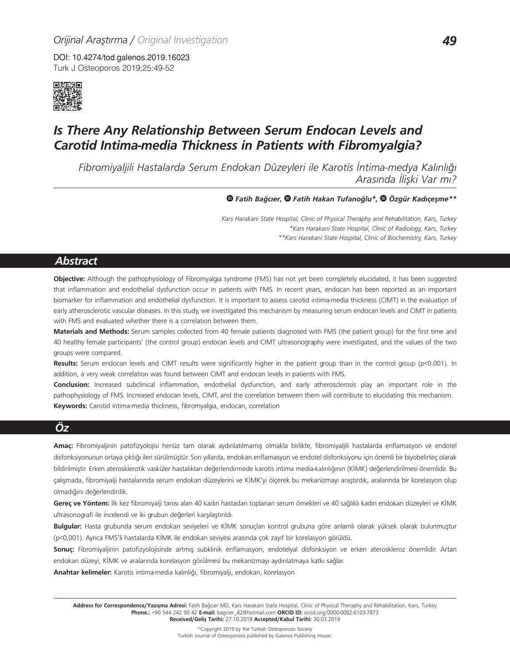DOI: 10.4274/tod.galenos.2019.16023 Turk J Osteoporos 2019;25:49-52



# *Is There Any Relationship Between Serum Endocan Levels and Carotid Intima-media Thickness in Patients with Fibromyalgia?*

*Fibromiyaljili Hastalarda Serum Endokan Düzeyleri ile Karotis İntima-medya Kalınlığı Arasında İlişki Var mı?*

#### *Fatih Bağcıer,Fatih Hakan Tufanoğlu\*,Özgür Kadıçeşme\*\**

*Kars Harakani State Hospital, Clinic of Physical Theraphy and Rehabilitation, Kars, Turkey \*Kars Harakani State Hospital, Clinic of Radiology, Kars, Turkey \*\*Kars Harakani State Hospital, Clinic of Biochemistry, Kars, Turkey*

# *Abstract*

**Objective:** Although the pathophysiology of Fibromyalgia syndrome (FMS) has not yet been completely elucidated, it has been suggested that inflammation and endothelial dysfunction occur in patients with FMS. In recent years, endocan has been reported as an important biomarker for inflammation and endothelial dysfunction. It is important to assess carotid intima-media thickness (CIMT) in the evaluation of early atherosclerotic vascular diseases. In this study, we investigated this mechanism by measuring serum endocan levels and CIMT in patients with FMS and evaluated whether there is a correlation between them.

**Materials and Methods:** Serum samples collected from 40 female patients diagnosed with FMS (the patient group) for the first time and 40 healthy female participants' (the control group) endocan levels and CIMT ultrasonography were investigated, and the values of the two groups were compared.

**Results:** Serum endocan levels and CIMT results were significantly higher in the patient group than in the control group (p<0.001). In addition, a very weak correlation was found between CIMT and endocan levels in patients with FMS.

**Conclusion:** Increased subclinical inflammation, endothelial dysfunction, and early atherosclerosis play an important role in the pathophysiology of FMS. Increased endocan levels, CIMT, and the correlation between them will contribute to elucidating this mechanism. **Keywords:** Carotid intima-media thickness, fibromyalgia, endocan, correlation

# *Öz*

**Amaç:** Fibromiyaljinin patofizyolojisi henüz tam olarak aydınlatılmamış olmakla birlikte, fibromiyaljili hastalarda enflamasyon ve endotel disfonksiyonunun ortaya çıktığı ileri sürülmüştür. Son yıllarda, endokan enflamasyon ve endotel disfonksiyonu için önemli bir biyobelirteç olarak bildirilmiştir. Erken aterosklerotik vasküler hastalıkları değerlendirmede karotis intima media-kalınlığının (KİMK) değerlendirilmesi önemlidir. Bu çalışmada, fibromiyalji hastalarında serum endokan düzeylerini ve KİMK'yi ölçerek bu mekanizmayı araştırdık, aralarında bir korelasyon olup olmadığını değerlendirdik.

**Gereç ve Yöntem:** İlk kez fibromiyalji tanısı alan 40 kadın hastadan toplanan serum örnekleri ve 40 sağlıklı kadın endokan düzeyleri ve KİMK ultrasonografi ile incelendi ve iki grubun değerleri karşılaştırıldı.

**Bulgular:** Hasta grubunda serum endokan seviyeleri ve KİMK sonuçları kontrol grubuna göre anlamlı olarak yüksek olarak bulunmuştur (p<0,001). Ayrıca FMS'li hastalarda KİMK ile endokan seviyesi arasında çok zayıf bir korelasyon görüldü.

**Sonuç:** Fibromiyaljinin patofizyolojisinde artmış subklinik enflamasyon, endotelyal disfonksiyon ve erken ateroskleroz önemlidir. Artan endokan düzeyi, KİMK ve aralarında korelasyon görülmesi bu mekanizmayı aydınlatmaya katkı sağlar.

**Anahtar kelimeler:** Karotis intima-media kalınlığı, fibromiyalji, endokan, korelasyon

Address for Correspondence/Yazışma Adresi: Fatih Bağcıer MD, Kars Harakani State Hospital, Clinic of Physical Theraphy and Rehabilitation, Kars, Turkey **Phone.:** +90 544 242 90 42 **E-mail:** bagcier\_42@hotmail.com **ORCID ID:** orcid.org/0000-0002-6103-7873 **Received/Geliş Tarihi:** 27.10.2018 **Accepted/Kabul Tarihi:** 30.03.2019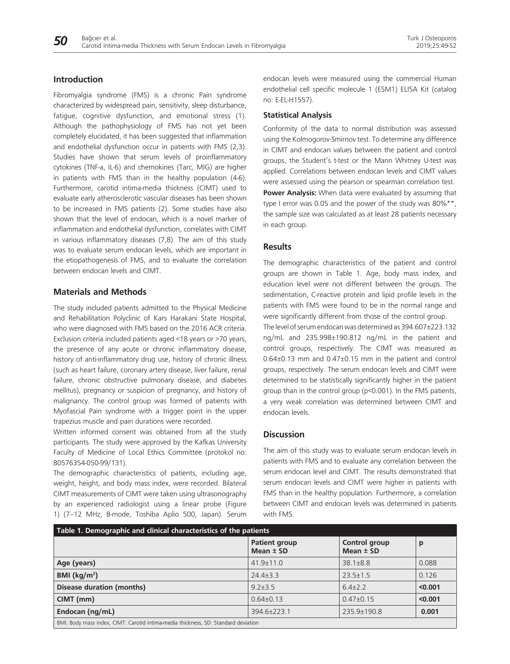## **Introduction**

Fibromyalgia syndrome (FMS) is a chronic Pain syndrome characterized by widespread pain, sensitivity, sleep disturbance, fatigue, cognitive dysfunction, and emotional stress (1). Although the pathophysiology of FMS has not yet been completely elucidated, it has been suggested that inflammation and endothelial dysfunction occur in patients with FMS (2,3). Studies have shown that serum levels of proinflammatory cytokines (TNF-a, IL-6) and chemokines (Tarc, MIG) are higher in patients with FMS than in the healthy population (4-6). Furthermore, carotid intima-media thickness (CIMT) used to evaluate early atherosclerotic vascular diseases has been shown to be increased in FMS patients (2). Some studies have also shown that the level of endocan, which is a novel marker of inflammation and endothelial dysfunction, correlates with CIMT in various inflammatory diseases (7,8). The aim of this study was to evaluate serum endocan levels, which are important in the etiopathogenesis of FMS, and to evaluate the correlation between endocan levels and CIMT.

# **Materials and Methods**

The study included patients admitted to the Physical Medicine and Rehabilitation Polyclinic of Kars Harakani State Hospital, who were diagnosed with FMS based on the 2016 ACR criteria. Exclusion criteria included patients aged <18 years or >70 years, the presence of any acute or chronic inflammatory disease, history of anti-inflammatory drug use, history of chronic illness (such as heart failure, coronary artery disease, liver failure, renal failure, chronic obstructive pulmonary disease, and diabetes mellitus), pregnancy or suspicion of pregnancy, and history of malignancy. The control group was formed of patients with Myofascial Pain syndrome with a trigger point in the upper trapezius muscle and pain durations were recorded.

Written informed consent was obtained from all the study participants. The study were approved by the Kafkas University Faculty of Medicine of Local Ethics Committee (protokol no: 80576354-050-99/131).

The demographic characteristics of patients, including age, weight, height, and body mass index, were recorded. Bilateral CIMT measurements of CIMT were taken using ultrasonography by an experienced radiologist using a linear probe (Figure 1) (7–12 MHz, B-mode, Toshiba Aplio 500, Japan). Serum

endocan levels were measured using the commercial Human endothelial cell specific molecule 1 (ESM1) ELISA Kit (catalog no: E-EL-H1557).

#### **Statistical Analysis**

Conformity of the data to normal distribution was assessed using the Kolmogorov-Smirnov test. To determine any difference in CIMT and endocan values between the patient and control groups, the Student's t-test or the Mann Whitney U-test was applied. Correlations between endocan levels and CIMT values were assessed using the pearson or spearman correlation test. **Power Analysis:** When data were evaluated by assuming that type I error was 0.05 and the power of the study was  $80\%$ \*\*, the sample size was calculated as at least 28 patients necessary in each group.

#### **Results**

The demographic characteristics of the patient and control groups are shown in Table 1. Age, body mass index, and education level were not different between the groups. The sedimentation, C-reactive protein and lipid profile levels in the patients with FMS were found to be in the normal range and were significantly different from those of the control group.

The level of serum endocan was determined as 394.607±223.132 ng/mL and 235.998±190.812 ng/mL in the patient and control groups, respectively. The CIMT was measured as 0.64±0.13 mm and 0.47±0.15 mm in the patient and control groups, respectively. The serum endocan levels and CIMT were determined to be statistically significantly higher in the patient group than in the control group (p<0.001). In the FMS patients, a very weak correlation was determined between CIMT and endocan levels.

## **Discussion**

The aim of this study was to evaluate serum endocan levels in patients with FMS and to evaluate any correlation between the serum endocan level and CIMT. The results demonstrated that serum endocan levels and CIMT were higher in patients with FMS than in the healthy population. Furthermore, a correlation between CIMT and endocan levels was determined in patients with FMS.

| Table 1. Demographic and clinical characteristics of the patients                  |                                       |                                     |         |
|------------------------------------------------------------------------------------|---------------------------------------|-------------------------------------|---------|
|                                                                                    | <b>Patient group</b><br>Mean $\pm$ SD | <b>Control group</b><br>Mean $±$ SD | p       |
| Age (years)                                                                        | $41.9 \pm 11.0$                       | $38.1 \pm 8.8$                      | 0.088   |
| BMI ( $\text{kg/m}^2$ )                                                            | $24.4 \pm 3.3$                        | $23.5 \pm 1.5$                      | 0.126   |
| Disease duration (months)                                                          | $9.2 \pm 3.5$                         | $6.4\pm2.2$                         | < 0.001 |
| CIMT (mm)                                                                          | $0.64\pm0.13$                         | $0.47\pm0.15$                       | < 0.001 |
| Endocan (ng/mL)                                                                    | 394.6±223.1                           | 235.9±190.8                         | 0.001   |
| BMI: Body mass index, CIMT: Carotid intima-media thickness, SD: Standard deviation |                                       |                                     |         |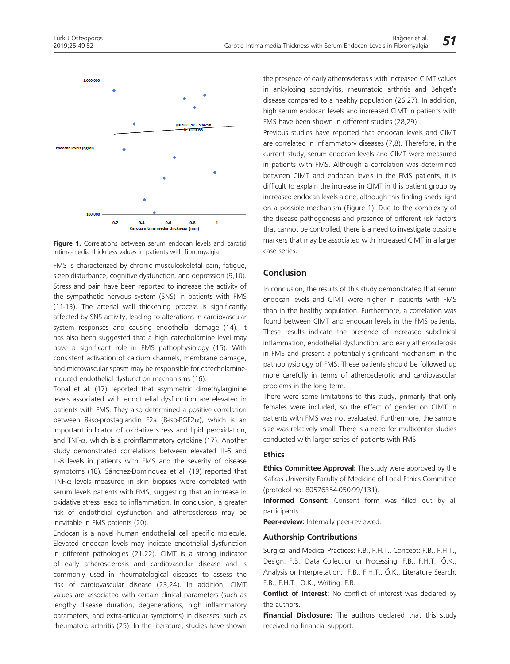

**Figure 1.** Correlations between serum endocan levels and carotid intima-media thickness values in patients with fibromyalgia

FMS is characterized by chronic musculoskeletal pain, fatigue, sleep disturbance, cognitive dysfunction, and depression (9,10). Stress and pain have been reported to increase the activity of the sympathetic nervous system (SNS) in patients with FMS (11-13). The arterial wall thickening process is significantly affected by SNS activity, leading to alterations in cardiovascular system responses and causing endothelial damage (14). It has also been suggested that a high catecholamine level may have a significant role in FMS pathophysiology (15). With consistent activation of calcium channels, membrane damage, and microvascular spasm may be responsible for catecholamineinduced endothelial dysfunction mechanisms (16).

Topal et al. (17) reported that asymmetric dimethylarginine levels associated with endothelial dysfunction are elevated in patients with FMS. They also determined a positive correlation between 8-iso-prostaglandin F2a (8-iso-PGF2 $\alpha$ ), which is an important indicator of oxidative stress and lipid peroxidation, and TNF- $\alpha$ , which is a proinflammatory cytokine (17). Another study demonstrated correlations between elevated IL-6 and IL-8 levels in patients with FMS and the severity of disease symptoms (18). Sánchez-Dominguez et al. (19) reported that TNF-α levels measured in skin biopsies were correlated with serum levels patients with FMS, suggesting that an increase in oxidative stress leads to inflammation. In conclusion, a greater risk of endothelial dysfunction and atherosclerosis may be inevitable in FMS patients (20).

Endocan is a novel human endothelial cell specific molecule. Elevated endocan levels may indicate endothelial dysfunction in different pathologies (21,22). CIMT is a strong indicator of early atherosclerosis and cardiovascular disease and is commonly used in rheumatological diseases to assess the risk of cardiovascular disease (23,24). In addition, CIMT values are associated with certain clinical parameters (such as lengthy disease duration, degenerations, high inflammatory parameters, and extra-articular symptoms) in diseases, such as rheumatoid arthritis (25). In the literature, studies have shown

the presence of early atherosclerosis with increased CIMT values in ankylosing spondylitis, rheumatoid arthritis and Behçet's disease compared to a healthy population (26,27). In addition, high serum endocan levels and increased CIMT in patients with FMS have been shown in different studies (28,29) .

Previous studies have reported that endocan levels and CIMT are correlated in inflammatory diseases (7,8). Therefore, in the current study, serum endocan levels and CIMT were measured in patients with FMS. Although a correlation was determined between CIMT and endocan levels in the FMS patients, it is difficult to explain the increase in CIMT in this patient group by increased endocan levels alone, although this finding sheds light on a possible mechanism (Figure 1). Due to the complexity of the disease pathogenesis and presence of different risk factors that cannot be controlled, there is a need to investigate possible markers that may be associated with increased CIMT in a larger case series.

## **Conclusion**

In conclusion, the results of this study demonstrated that serum endocan levels and CIMT were higher in patients with FMS than in the healthy population. Furthermore, a correlation was found between CIMT and endocan levels in the FMS patients. These results indicate the presence of increased subclinical inflammation, endothelial dysfunction, and early atherosclerosis in FMS and present a potentially significant mechanism in the pathophysiology of FMS. These patients should be followed up more carefully in terms of atherosclerotic and cardiovascular problems in the long term.

There were some limitations to this study, primarily that only females were included, so the effect of gender on CIMT in patients with FMS was not evaluated. Furthermore, the sample size was relatively small. There is a need for multicenter studies conducted with larger series of patients with FMS.

#### **Ethics**

**Ethics Committee Approval:** The study were approved by the Kafkas University Faculty of Medicine of Local Ethics Committee (protokol no: 80576354-050-99/131).

**Informed Consent:** Consent form was filled out by all participants.

**Peer-review:** Internally peer-reviewed.

#### **Authorship Contributions**

Surgical and Medical Practices: F.B., F.H.T., Concept: F.B., F.H.T., Design: F.B., Data Collection or Processing: F.B., F.H.T., Ö.K., Analysis or Interpretation: F.B., F.H.T., Ö.K., Literature Search: F.B., F.H.T., Ö.K., Writing: F.B.

**Conflict of Interest:** No conflict of interest was declared by the authors.

**Financial Disclosure:** The authors declared that this study received no financial support.